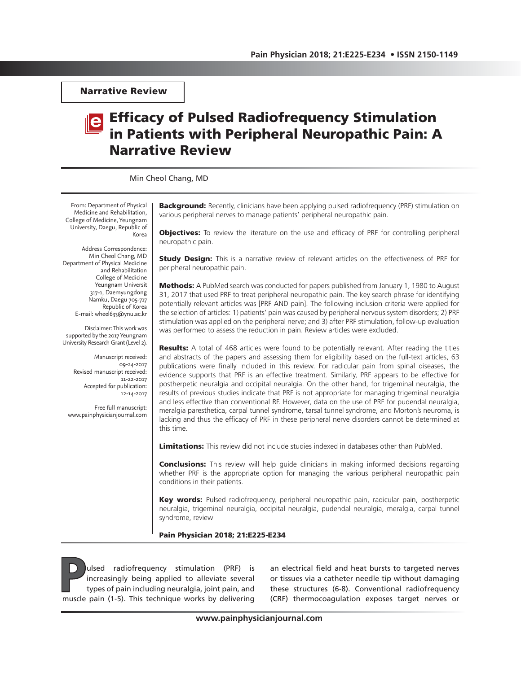Narrative Review

# Efficacy of Pulsed Radiofrequency Stimulation in Patients with Peripheral Neuropathic Pain: A Narrative Review

Min Cheol Chang, MD

From: Department of Physical Medicine and Rehabilitation, College of Medicine, Yeungnam University, Daegu, Republic of Korea

Address Correspondence: Min Cheol Chang, MD Department of Physical Medicine and Rehabilitation College of Medicine Yeungnam Universit 317-1, Daemyungdong Namku, Daegu 705-717 Republic of Korea E-mail: wheel633@ynu.ac.kr

Disclaimer: This work was supported by the 2017 Yeungnam University Research Grant (Level 2).

> Manuscript received: 09-24-2017 Revised manuscript received: 11-22-2017 Accepted for publication: 12-14-2017

Free full manuscript: www.painphysicianjournal.com

**Background:** Recently, clinicians have been applying pulsed radiofrequency (PRF) stimulation on various peripheral nerves to manage patients' peripheral neuropathic pain.

**Objectives:** To review the literature on the use and efficacy of PRF for controlling peripheral neuropathic pain.

**Study Design:** This is a narrative review of relevant articles on the effectiveness of PRF for peripheral neuropathic pain.

Methods: A PubMed search was conducted for papers published from January 1, 1980 to August 31, 2017 that used PRF to treat peripheral neuropathic pain. The key search phrase for identifying potentially relevant articles was [PRF AND pain]. The following inclusion criteria were applied for the selection of articles: 1) patients' pain was caused by peripheral nervous system disorders; 2) PRF stimulation was applied on the peripheral nerve; and 3) after PRF stimulation, follow-up evaluation was performed to assess the reduction in pain. Review articles were excluded.

**Results:** A total of 468 articles were found to be potentially relevant. After reading the titles and abstracts of the papers and assessing them for eligibility based on the full-text articles, 63 publications were finally included in this review. For radicular pain from spinal diseases, the evidence supports that PRF is an effective treatment. Similarly, PRF appears to be effective for postherpetic neuralgia and occipital neuralgia. On the other hand, for trigeminal neuralgia, the results of previous studies indicate that PRF is not appropriate for managing trigeminal neuralgia and less effective than conventional RF. However, data on the use of PRF for pudendal neuralgia, meralgia paresthetica, carpal tunnel syndrome, tarsal tunnel syndrome, and Morton's neuroma, is lacking and thus the efficacy of PRF in these peripheral nerve disorders cannot be determined at this time.

**Limitations:** This review did not include studies indexed in databases other than PubMed.

**Conclusions:** This review will help quide clinicians in making informed decisions regarding whether PRF is the appropriate option for managing the various peripheral neuropathic pain conditions in their patients.

Key words: Pulsed radiofrequency, peripheral neuropathic pain, radicular pain, postherpetic neuralgia, trigeminal neuralgia, occipital neuralgia, pudendal neuralgia, meralgia, carpal tunnel syndrome, review

Pain Physician 2018; 21:E225-E234

ulsed radiofrequency stimulation (PRF) is<br>increasingly being applied to alleviate several<br>types of pain including neuralgia, joint pain, and<br>muscle pain (1-5). This technique works by delivering increasingly being applied to alleviate several types of pain including neuralgia, joint pain, and muscle pain (1-5). This technique works by delivering

an electrical field and heat bursts to targeted nerves or tissues via a catheter needle tip without damaging these structures (6-8). Conventional radiofrequency (CRF) thermocoagulation exposes target nerves or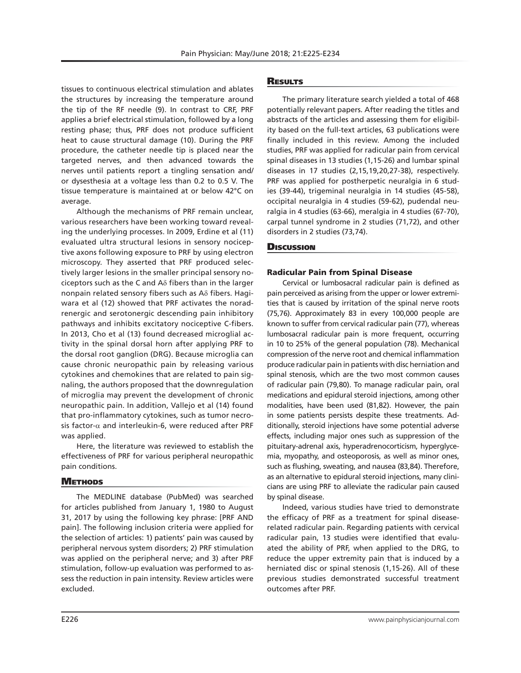tissues to continuous electrical stimulation and ablates the structures by increasing the temperature around the tip of the RF needle (9). In contrast to CRF, PRF applies a brief electrical stimulation, followed by a long resting phase; thus, PRF does not produce sufficient heat to cause structural damage (10). During the PRF procedure, the catheter needle tip is placed near the targeted nerves, and then advanced towards the nerves until patients report a tingling sensation and/ or dysesthesia at a voltage less than 0.2 to 0.5 V. The tissue temperature is maintained at or below 42°C on average.

Although the mechanisms of PRF remain unclear, various researchers have been working toward revealing the underlying processes. In 2009, Erdine et al (11) evaluated ultra structural lesions in sensory nociceptive axons following exposure to PRF by using electron microscopy. They asserted that PRF produced selectively larger lesions in the smaller principal sensory nociceptors such as the C and  $A\delta$  fibers than in the larger nonpain related sensory fibers such as Aδ fibers. Hagiwara et al (12) showed that PRF activates the noradrenergic and serotonergic descending pain inhibitory pathways and inhibits excitatory nociceptive C-fibers. In 2013, Cho et al (13) found decreased microglial activity in the spinal dorsal horn after applying PRF to the dorsal root ganglion (DRG). Because microglia can cause chronic neuropathic pain by releasing various cytokines and chemokines that are related to pain signaling, the authors proposed that the downregulation of microglia may prevent the development of chronic neuropathic pain. In addition, Vallejo et al (14) found that pro-inflammatory cytokines, such as tumor necrosis factor- $\alpha$  and interleukin-6, were reduced after PRF was applied.

Here, the literature was reviewed to establish the effectiveness of PRF for various peripheral neuropathic pain conditions.

### **METHODS**

The MEDLINE database (PubMed) was searched for articles published from January 1, 1980 to August 31, 2017 by using the following key phrase: [PRF AND pain]. The following inclusion criteria were applied for the selection of articles: 1) patients' pain was caused by peripheral nervous system disorders; 2) PRF stimulation was applied on the peripheral nerve; and 3) after PRF stimulation, follow-up evaluation was performed to assess the reduction in pain intensity. Review articles were excluded.

### **RESULTS**

The primary literature search yielded a total of 468 potentially relevant papers. After reading the titles and abstracts of the articles and assessing them for eligibility based on the full-text articles, 63 publications were finally included in this review. Among the included studies, PRF was applied for radicular pain from cervical spinal diseases in 13 studies (1,15-26) and lumbar spinal diseases in 17 studies (2,15,19,20,27-38), respectively. PRF was applied for postherpetic neuralgia in 6 studies (39-44), trigeminal neuralgia in 14 studies (45-58), occipital neuralgia in 4 studies (59-62), pudendal neuralgia in 4 studies (63-66), meralgia in 4 studies (67-70), carpal tunnel syndrome in 2 studies (71,72), and other disorders in 2 studies (73,74).

## **Discussion**

### Radicular Pain from Spinal Disease

Cervical or lumbosacral radicular pain is defined as pain perceived as arising from the upper or lower extremities that is caused by irritation of the spinal nerve roots (75,76). Approximately 83 in every 100,000 people are known to suffer from cervical radicular pain (77), whereas lumbosacral radicular pain is more frequent, occurring in 10 to 25% of the general population (78). Mechanical compression of the nerve root and chemical inflammation produce radicular pain in patients with disc herniation and spinal stenosis, which are the two most common causes of radicular pain (79,80). To manage radicular pain, oral medications and epidural steroid injections, among other modalities, have been used (81,82). However, the pain in some patients persists despite these treatments. Additionally, steroid injections have some potential adverse effects, including major ones such as suppression of the pituitary-adrenal axis, hyperadrenocorticism, hyperglycemia, myopathy, and osteoporosis, as well as minor ones, such as flushing, sweating, and nausea (83,84). Therefore, as an alternative to epidural steroid injections, many clinicians are using PRF to alleviate the radicular pain caused by spinal disease.

Indeed, various studies have tried to demonstrate the efficacy of PRF as a treatment for spinal diseaserelated radicular pain. Regarding patients with cervical radicular pain, 13 studies were identified that evaluated the ability of PRF, when applied to the DRG, to reduce the upper extremity pain that is induced by a herniated disc or spinal stenosis (1,15-26). All of these previous studies demonstrated successful treatment outcomes after PRF.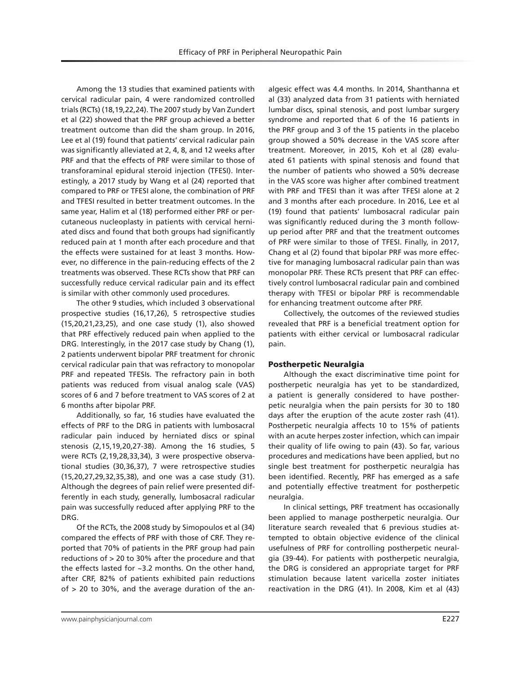Among the 13 studies that examined patients with cervical radicular pain, 4 were randomized controlled trials (RCTs) (18,19,22,24). The 2007 study by Van Zundert et al (22) showed that the PRF group achieved a better treatment outcome than did the sham group. In 2016, Lee et al (19) found that patients' cervical radicular pain was significantly alleviated at 2, 4, 8, and 12 weeks after PRF and that the effects of PRF were similar to those of transforaminal epidural steroid injection (TFESI). Interestingly, a 2017 study by Wang et al (24) reported that compared to PRF or TFESI alone, the combination of PRF and TFESI resulted in better treatment outcomes. In the same year, Halim et al (18) performed either PRF or percutaneous nucleoplasty in patients with cervical herniated discs and found that both groups had significantly reduced pain at 1 month after each procedure and that the effects were sustained for at least 3 months. However, no difference in the pain-reducing effects of the 2 treatments was observed. These RCTs show that PRF can successfully reduce cervical radicular pain and its effect is similar with other commonly used procedures.

The other 9 studies, which included 3 observational prospective studies (16,17,26), 5 retrospective studies (15,20,21,23,25), and one case study (1), also showed that PRF effectively reduced pain when applied to the DRG. Interestingly, in the 2017 case study by Chang (1), 2 patients underwent bipolar PRF treatment for chronic cervical radicular pain that was refractory to monopolar PRF and repeated TFESIs. The refractory pain in both patients was reduced from visual analog scale (VAS) scores of 6 and 7 before treatment to VAS scores of 2 at 6 months after bipolar PRF.

Additionally, so far, 16 studies have evaluated the effects of PRF to the DRG in patients with lumbosacral radicular pain induced by herniated discs or spinal stenosis (2,15,19,20,27-38). Among the 16 studies, 5 were RCTs (2,19,28,33,34), 3 were prospective observational studies (30,36,37), 7 were retrospective studies (15,20,27,29,32,35,38), and one was a case study (31). Although the degrees of pain relief were presented differently in each study, generally, lumbosacral radicular pain was successfully reduced after applying PRF to the DRG.

Of the RCTs, the 2008 study by Simopoulos et al (34) compared the effects of PRF with those of CRF. They reported that 70% of patients in the PRF group had pain reductions of > 20 to 30% after the procedure and that the effects lasted for ~3.2 months. On the other hand, after CRF, 82% of patients exhibited pain reductions of > 20 to 30%, and the average duration of the an-

algesic effect was 4.4 months. In 2014, Shanthanna et al (33) analyzed data from 31 patients with herniated lumbar discs, spinal stenosis, and post lumbar surgery syndrome and reported that 6 of the 16 patients in the PRF group and 3 of the 15 patients in the placebo group showed a 50% decrease in the VAS score after treatment. Moreover, in 2015, Koh et al (28) evaluated 61 patients with spinal stenosis and found that the number of patients who showed a 50% decrease in the VAS score was higher after combined treatment with PRF and TFESI than it was after TFESI alone at 2 and 3 months after each procedure. In 2016, Lee et al (19) found that patients' lumbosacral radicular pain was significantly reduced during the 3 month followup period after PRF and that the treatment outcomes of PRF were similar to those of TFESI. Finally, in 2017, Chang et al (2) found that bipolar PRF was more effective for managing lumbosacral radicular pain than was monopolar PRF. These RCTs present that PRF can effectively control lumbosacral radicular pain and combined therapy with TFESI or bipolar PRF is recommendable for enhancing treatment outcome after PRF.

Collectively, the outcomes of the reviewed studies revealed that PRF is a beneficial treatment option for patients with either cervical or lumbosacral radicular pain.

### Postherpetic Neuralgia

Although the exact discriminative time point for postherpetic neuralgia has yet to be standardized, a patient is generally considered to have postherpetic neuralgia when the pain persists for 30 to 180 days after the eruption of the acute zoster rash (41). Postherpetic neuralgia affects 10 to 15% of patients with an acute herpes zoster infection, which can impair their quality of life owing to pain (43). So far, various procedures and medications have been applied, but no single best treatment for postherpetic neuralgia has been identified. Recently, PRF has emerged as a safe and potentially effective treatment for postherpetic neuralgia.

In clinical settings, PRF treatment has occasionally been applied to manage postherpetic neuralgia. Our literature search revealed that 6 previous studies attempted to obtain objective evidence of the clinical usefulness of PRF for controlling postherpetic neuralgia (39-44). For patients with postherpetic neuralgia, the DRG is considered an appropriate target for PRF stimulation because latent varicella zoster initiates reactivation in the DRG (41). In 2008, Kim et al (43)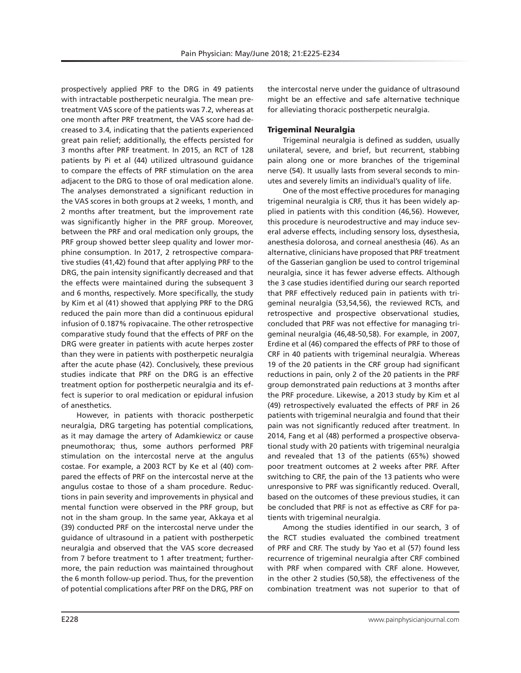prospectively applied PRF to the DRG in 49 patients with intractable postherpetic neuralgia. The mean pretreatment VAS score of the patients was 7.2, whereas at one month after PRF treatment, the VAS score had decreased to 3.4, indicating that the patients experienced great pain relief; additionally, the effects persisted for 3 months after PRF treatment. In 2015, an RCT of 128 patients by Pi et al (44) utilized ultrasound guidance to compare the effects of PRF stimulation on the area adjacent to the DRG to those of oral medication alone. The analyses demonstrated a significant reduction in the VAS scores in both groups at 2 weeks, 1 month, and 2 months after treatment, but the improvement rate was significantly higher in the PRF group. Moreover, between the PRF and oral medication only groups, the PRF group showed better sleep quality and lower morphine consumption. In 2017, 2 retrospective comparative studies (41,42) found that after applying PRF to the DRG, the pain intensity significantly decreased and that the effects were maintained during the subsequent 3 and 6 months, respectively. More specifically, the study by Kim et al (41) showed that applying PRF to the DRG reduced the pain more than did a continuous epidural infusion of 0.187% ropivacaine. The other retrospective comparative study found that the effects of PRF on the DRG were greater in patients with acute herpes zoster than they were in patients with postherpetic neuralgia after the acute phase (42). Conclusively, these previous studies indicate that PRF on the DRG is an effective treatment option for postherpetic neuralgia and its effect is superior to oral medication or epidural infusion of anesthetics.

However, in patients with thoracic postherpetic neuralgia, DRG targeting has potential complications, as it may damage the artery of Adamkiewicz or cause pneumothorax; thus, some authors performed PRF stimulation on the intercostal nerve at the angulus costae. For example, a 2003 RCT by Ke et al (40) compared the effects of PRF on the intercostal nerve at the angulus costae to those of a sham procedure. Reductions in pain severity and improvements in physical and mental function were observed in the PRF group, but not in the sham group. In the same year, Akkaya et al (39) conducted PRF on the intercostal nerve under the guidance of ultrasound in a patient with postherpetic neuralgia and observed that the VAS score decreased from 7 before treatment to 1 after treatment; furthermore, the pain reduction was maintained throughout the 6 month follow-up period. Thus, for the prevention of potential complications after PRF on the DRG, PRF on

the intercostal nerve under the guidance of ultrasound might be an effective and safe alternative technique for alleviating thoracic postherpetic neuralgia.

# Trigeminal Neuralgia

Trigeminal neuralgia is defined as sudden, usually unilateral, severe, and brief, but recurrent, stabbing pain along one or more branches of the trigeminal nerve (54). It usually lasts from several seconds to minutes and severely limits an individual's quality of life.

One of the most effective procedures for managing trigeminal neuralgia is CRF, thus it has been widely applied in patients with this condition (46,56). However, this procedure is neurodestructive and may induce several adverse effects, including sensory loss, dysesthesia, anesthesia dolorosa, and corneal anesthesia (46). As an alternative, clinicians have proposed that PRF treatment of the Gasserian ganglion be used to control trigeminal neuralgia, since it has fewer adverse effects. Although the 3 case studies identified during our search reported that PRF effectively reduced pain in patients with trigeminal neuralgia (53,54,56), the reviewed RCTs, and retrospective and prospective observational studies, concluded that PRF was not effective for managing trigeminal neuralgia (46,48-50,58). For example, in 2007, Erdine et al (46) compared the effects of PRF to those of CRF in 40 patients with trigeminal neuralgia. Whereas 19 of the 20 patients in the CRF group had significant reductions in pain, only 2 of the 20 patients in the PRF group demonstrated pain reductions at 3 months after the PRF procedure. Likewise, a 2013 study by Kim et al (49) retrospectively evaluated the effects of PRF in 26 patients with trigeminal neuralgia and found that their pain was not significantly reduced after treatment. In 2014, Fang et al (48) performed a prospective observational study with 20 patients with trigeminal neuralgia and revealed that 13 of the patients (65%) showed poor treatment outcomes at 2 weeks after PRF. After switching to CRF, the pain of the 13 patients who were unresponsive to PRF was significantly reduced. Overall, based on the outcomes of these previous studies, it can be concluded that PRF is not as effective as CRF for patients with trigeminal neuralgia.

Among the studies identified in our search, 3 of the RCT studies evaluated the combined treatment of PRF and CRF. The study by Yao et al (57) found less recurrence of trigeminal neuralgia after CRF combined with PRF when compared with CRF alone. However, in the other 2 studies (50,58), the effectiveness of the combination treatment was not superior to that of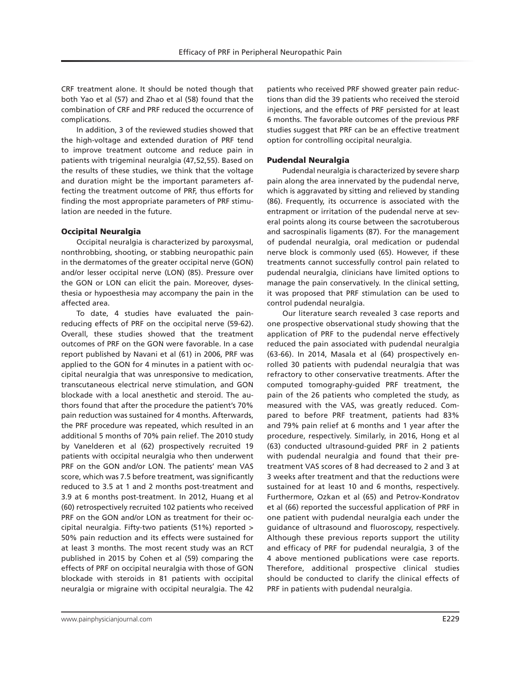(86). Frequently, its occurrence is associated with the

Pudendal Neuralgia

entrapment or irritation of the pudendal nerve at several points along its course between the sacrotuberous and sacrospinalis ligaments (87). For the management of pudendal neuralgia, oral medication or pudendal nerve block is commonly used (65). However, if these treatments cannot successfully control pain related to pudendal neuralgia, clinicians have limited options to manage the pain conservatively. In the clinical setting, it was proposed that PRF stimulation can be used to control pudendal neuralgia.

patients who received PRF showed greater pain reductions than did the 39 patients who received the steroid injections, and the effects of PRF persisted for at least 6 months. The favorable outcomes of the previous PRF studies suggest that PRF can be an effective treatment

Pudendal neuralgia is characterized by severe sharp pain along the area innervated by the pudendal nerve, which is aggravated by sitting and relieved by standing

option for controlling occipital neuralgia.

Our literature search revealed 3 case reports and one prospective observational study showing that the application of PRF to the pudendal nerve effectively reduced the pain associated with pudendal neuralgia (63-66). In 2014, Masala et al (64) prospectively enrolled 30 patients with pudendal neuralgia that was refractory to other conservative treatments. After the computed tomography-guided PRF treatment, the pain of the 26 patients who completed the study, as measured with the VAS, was greatly reduced. Compared to before PRF treatment, patients had 83% and 79% pain relief at 6 months and 1 year after the procedure, respectively. Similarly, in 2016, Hong et al (63) conducted ultrasound-guided PRF in 2 patients with pudendal neuralgia and found that their pretreatment VAS scores of 8 had decreased to 2 and 3 at 3 weeks after treatment and that the reductions were sustained for at least 10 and 6 months, respectively. Furthermore, Ozkan et al (65) and Petrov-Kondratov et al (66) reported the successful application of PRF in one patient with pudendal neuralgia each under the guidance of ultrasound and fluoroscopy, respectively. Although these previous reports support the utility and efficacy of PRF for pudendal neuralgia, 3 of the 4 above mentioned publications were case reports. Therefore, additional prospective clinical studies should be conducted to clarify the clinical effects of PRF in patients with pudendal neuralgia.

CRF treatment alone. It should be noted though that both Yao et al (57) and Zhao et al (58) found that the combination of CRF and PRF reduced the occurrence of complications.

In addition, 3 of the reviewed studies showed that the high-voltage and extended duration of PRF tend to improve treatment outcome and reduce pain in patients with trigeminal neuralgia (47,52,55). Based on the results of these studies, we think that the voltage and duration might be the important parameters affecting the treatment outcome of PRF, thus efforts for finding the most appropriate parameters of PRF stimulation are needed in the future.

### Occipital Neuralgia

Occipital neuralgia is characterized by paroxysmal, nonthrobbing, shooting, or stabbing neuropathic pain in the dermatomes of the greater occipital nerve (GON) and/or lesser occipital nerve (LON) (85). Pressure over the GON or LON can elicit the pain. Moreover, dysesthesia or hypoesthesia may accompany the pain in the affected area.

To date, 4 studies have evaluated the painreducing effects of PRF on the occipital nerve (59-62). Overall, these studies showed that the treatment outcomes of PRF on the GON were favorable. In a case report published by Navani et al (61) in 2006, PRF was applied to the GON for 4 minutes in a patient with occipital neuralgia that was unresponsive to medication, transcutaneous electrical nerve stimulation, and GON blockade with a local anesthetic and steroid. The authors found that after the procedure the patient's 70% pain reduction was sustained for 4 months. Afterwards, the PRF procedure was repeated, which resulted in an additional 5 months of 70% pain relief. The 2010 study by Vanelderen et al (62) prospectively recruited 19 patients with occipital neuralgia who then underwent PRF on the GON and/or LON. The patients' mean VAS score, which was 7.5 before treatment, was significantly reduced to 3.5 at 1 and 2 months post-treatment and 3.9 at 6 months post-treatment. In 2012, Huang et al (60) retrospectively recruited 102 patients who received PRF on the GON and/or LON as treatment for their occipital neuralgia. Fifty-two patients (51%) reported > 50% pain reduction and its effects were sustained for at least 3 months. The most recent study was an RCT published in 2015 by Cohen et al (59) comparing the effects of PRF on occipital neuralgia with those of GON blockade with steroids in 81 patients with occipital neuralgia or migraine with occipital neuralgia. The 42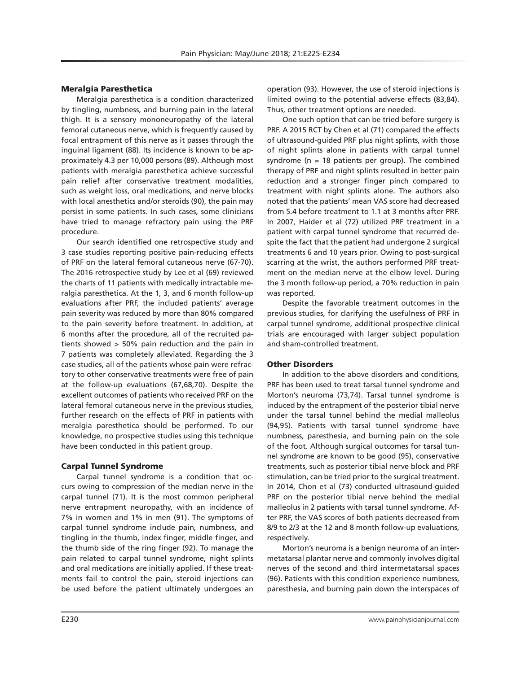# Meralgia Paresthetica

Meralgia paresthetica is a condition characterized by tingling, numbness, and burning pain in the lateral thigh. It is a sensory mononeuropathy of the lateral femoral cutaneous nerve, which is frequently caused by focal entrapment of this nerve as it passes through the inguinal ligament (88). Its incidence is known to be approximately 4.3 per 10,000 persons (89). Although most patients with meralgia paresthetica achieve successful pain relief after conservative treatment modalities, such as weight loss, oral medications, and nerve blocks with local anesthetics and/or steroids (90), the pain may persist in some patients. In such cases, some clinicians have tried to manage refractory pain using the PRF procedure.

Our search identified one retrospective study and 3 case studies reporting positive pain-reducing effects of PRF on the lateral femoral cutaneous nerve (67-70). The 2016 retrospective study by Lee et al (69) reviewed the charts of 11 patients with medically intractable meralgia paresthetica. At the 1, 3, and 6 month follow-up evaluations after PRF, the included patients' average pain severity was reduced by more than 80% compared to the pain severity before treatment. In addition, at 6 months after the procedure, all of the recruited patients showed > 50% pain reduction and the pain in 7 patients was completely alleviated. Regarding the 3 case studies, all of the patients whose pain were refractory to other conservative treatments were free of pain at the follow-up evaluations (67,68,70). Despite the excellent outcomes of patients who received PRF on the lateral femoral cutaneous nerve in the previous studies, further research on the effects of PRF in patients with meralgia paresthetica should be performed. To our knowledge, no prospective studies using this technique have been conducted in this patient group.

### Carpal Tunnel Syndrome

Carpal tunnel syndrome is a condition that occurs owing to compression of the median nerve in the carpal tunnel (71). It is the most common peripheral nerve entrapment neuropathy, with an incidence of 7% in women and 1% in men (91). The symptoms of carpal tunnel syndrome include pain, numbness, and tingling in the thumb, index finger, middle finger, and the thumb side of the ring finger (92). To manage the pain related to carpal tunnel syndrome, night splints and oral medications are initially applied. If these treatments fail to control the pain, steroid injections can be used before the patient ultimately undergoes an

operation (93). However, the use of steroid injections is limited owing to the potential adverse effects (83,84). Thus, other treatment options are needed.

One such option that can be tried before surgery is PRF. A 2015 RCT by Chen et al (71) compared the effects of ultrasound-guided PRF plus night splints, with those of night splints alone in patients with carpal tunnel syndrome (n = 18 patients per group). The combined therapy of PRF and night splints resulted in better pain reduction and a stronger finger pinch compared to treatment with night splints alone. The authors also noted that the patients' mean VAS score had decreased from 5.4 before treatment to 1.1 at 3 months after PRF. In 2007, Haider et al (72) utilized PRF treatment in a patient with carpal tunnel syndrome that recurred despite the fact that the patient had undergone 2 surgical treatments 6 and 10 years prior. Owing to post-surgical scarring at the wrist, the authors performed PRF treatment on the median nerve at the elbow level. During the 3 month follow-up period, a 70% reduction in pain was reported.

Despite the favorable treatment outcomes in the previous studies, for clarifying the usefulness of PRF in carpal tunnel syndrome, additional prospective clinical trials are encouraged with larger subject population and sham-controlled treatment.

# Other Disorders

In addition to the above disorders and conditions, PRF has been used to treat tarsal tunnel syndrome and Morton's neuroma (73,74). Tarsal tunnel syndrome is induced by the entrapment of the posterior tibial nerve under the tarsal tunnel behind the medial malleolus (94,95). Patients with tarsal tunnel syndrome have numbness, paresthesia, and burning pain on the sole of the foot. Although surgical outcomes for tarsal tunnel syndrome are known to be good (95), conservative treatments, such as posterior tibial nerve block and PRF stimulation, can be tried prior to the surgical treatment. In 2014, Chon et al (73) conducted ultrasound-guided PRF on the posterior tibial nerve behind the medial malleolus in 2 patients with tarsal tunnel syndrome. After PRF, the VAS scores of both patients decreased from 8/9 to 2/3 at the 12 and 8 month follow-up evaluations, respectively.

Morton's neuroma is a benign neuroma of an intermetatarsal plantar nerve and commonly involves digital nerves of the second and third intermetatarsal spaces (96). Patients with this condition experience numbness, paresthesia, and burning pain down the interspaces of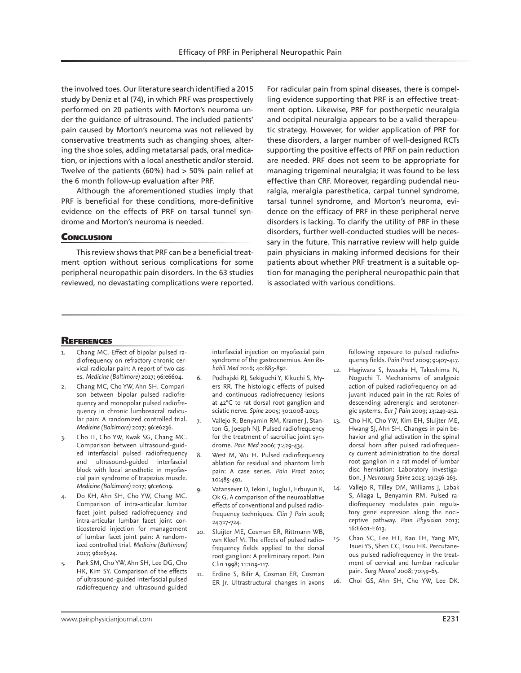the involved toes. Our literature search identified a 2015 study by Deniz et al (74), in which PRF was prospectively performed on 20 patients with Morton's neuroma under the guidance of ultrasound. The included patients' pain caused by Morton's neuroma was not relieved by conservative treatments such as changing shoes, altering the shoe soles, adding metatarsal pads, oral medication, or injections with a local anesthetic and/or steroid. Twelve of the patients (60%) had > 50% pain relief at the 6 month follow-up evaluation after PRF.

Although the aforementioned studies imply that PRF is beneficial for these conditions, more-definitive evidence on the effects of PRF on tarsal tunnel syndrome and Morton's neuroma is needed.

### **CONCLUSION**

This review shows that PRF can be a beneficial treatment option without serious complications for some peripheral neuropathic pain disorders. In the 63 studies reviewed, no devastating complications were reported.

For radicular pain from spinal diseases, there is compelling evidence supporting that PRF is an effective treatment option. Likewise, PRF for postherpetic neuralgia and occipital neuralgia appears to be a valid therapeutic strategy. However, for wider application of PRF for these disorders, a larger number of well-designed RCTs supporting the positive effects of PRF on pain reduction are needed. PRF does not seem to be appropriate for managing trigeminal neuralgia; it was found to be less effective than CRF. Moreover, regarding pudendal neuralgia, meralgia paresthetica, carpal tunnel syndrome, tarsal tunnel syndrome, and Morton's neuroma, evidence on the efficacy of PRF in these peripheral nerve disorders is lacking. To clarify the utility of PRF in these disorders, further well-conducted studies will be necessary in the future. This narrative review will help guide pain physicians in making informed decisions for their patients about whether PRF treatment is a suitable option for managing the peripheral neuropathic pain that is associated with various conditions.

### **REFERENCES**

- Chang MC. Effect of bipolar pulsed radiofrequency on refractory chronic cervical radicular pain: A report of two cases. *Medicine (Baltimore)* 2017; 96:e6604.
- 2. Chang MC, Cho YW, Ahn SH. Comparison between bipolar pulsed radiofrequency and monopolar pulsed radiofrequency in chronic lumbosacral radicular pain: A randomized controlled trial. *Medicine (Baltimore)* 2017; 96:e6236.
- 3. Cho IT, Cho YW, Kwak SG, Chang MC. Comparison between ultrasound-guided interfascial pulsed radiofrequency and ultrasound-guided interfascial block with local anesthetic in myofascial pain syndrome of trapezius muscle. *Medicine (Baltimore)* 2017; 96:e6019.
- 4. Do KH, Ahn SH, Cho YW, Chang MC. Comparison of intra-articular lumbar facet joint pulsed radiofrequency and intra-articular lumbar facet joint corticosteroid injection for management of lumbar facet joint pain: A randomized controlled trial. *Medicine (Baltimore)*  2017; 96:e6524.
- Park SM, Cho YW, Ahn SH, Lee DG, Cho HK, Kim SY. Comparison of the effects of ultrasound-guided interfascial pulsed radiofrequency and ultrasound-guided

interfascial injection on myofascial pain syndrome of the gastrocnemius. *Ann Rehabil Med* 2016; 40:885-892.

- 6. Podhajski RJ, Sekiguchi Y, Kikuchi S, Myers RR. The histologic effects of pulsed and continuous radiofrequency lesions at 42°C to rat dorsal root ganglion and sciatic nerve. *Spine* 2005; 30:1008-1013.
- Vallejo R, Benyamin RM, Kramer J, Stanton G, Joesph NJ. Pulsed radiofrequency for the treatment of sacroiliac joint syndrome. *Pain Med* 2006; 7:429-434.
- 8. West M, Wu H. Pulsed radiofrequency ablation for residual and phantom limb pain: A case series. *Pain Pract* 2010; 10:485-491.
- 9. Vatansever D, Tekin I, Tuglu I, Erbuyun K, Ok G. A comparison of the neuroablative effects of conventional and pulsed radiofrequency techniques. *Clin J Pain* 2008; 24:717-724.
- 10. Sluijter ME, Cosman ER, Rittmann WB, van Kleef M. The effects of pulsed radiofrequency fields applied to the dorsal root ganglion: A preliminary report. Pain Clin 1998; 11:109-117.
- 11. Erdine S, Bilir A, Cosman ER, Cosman ER Jr. Ultrastructural changes in axons

following exposure to pulsed radiofrequency fields. *Pain Pract* 2009; 9:407-417.

- 12. Hagiwara S, Iwasaka H, Takeshima N, Noguchi T. Mechanisms of analgesic action of pulsed radiofrequency on adjuvant-induced pain in the rat: Roles of descending adrenergic and serotonergic systems. *Eur J Pain* 2009; 13:249-252.
- 13. Cho HK, Cho YW, Kim EH, Sluijter ME, Hwang SJ, Ahn SH. Changes in pain behavior and glial activation in the spinal dorsal horn after pulsed radiofrequency current administration to the dorsal root ganglion in a rat model of lumbar disc herniation: Laboratory investigation. *J Neurosurg Spine* 2013; 19:256-263.
- 14. Vallejo R, Tilley DM, Williams J, Labak S, Aliaga L, Benyamin RM. Pulsed radiofrequency modulates pain regulatory gene expression along the nociceptive pathway. *Pain Physician* 2013; 16:E601-E613.
- 15. Chao SC, Lee HT, Kao TH, Yang MY, Tsuei YS, Shen CC, Tsou HK. Percutaneous pulsed radiofrequency in the treatment of cervical and lumbar radicular pain. *Surg Neurol* 2008; 70:59-65.
- 16. Choi GS, Ahn SH, Cho YW, Lee DK.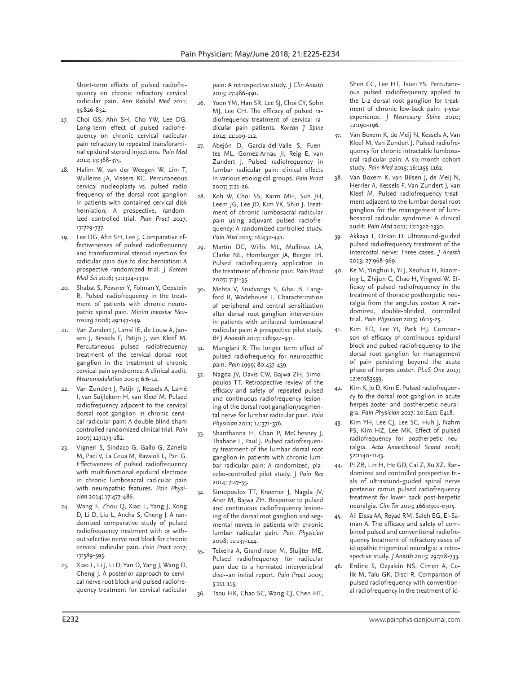Short-term effects of pulsed radiofrequency on chronic refractory cervical radicular pain. *Ann Rehabil Med* 2011; 35:826-832.

- 17. Choi GS, Ahn SH, Cho YW, Lee DG. Long-term effect of pulsed radiofrequency on chronic cervical radicular pain refractory to repeated transforaminal epidural steroid injections. *Pain Med*  2012; 13:368-375.
- 18. Halim W, van der Weegen W, Lim T, Wullems JA, Vissers KC. Percutaneous cervical nucleoplasty vs. pulsed radio frequency of the dorsal root ganglion in patients with contained cervical disk herniation; A prospective, randomized controlled trial. *Pain Pract* 2017; 17:729-737.
- 19. Lee DG, Ahn SH, Lee J. Comparative effectivenesses of pulsed radiofrequency and transforaminal steroid injection for radicular pain due to disc herniation: A prospective randomized trial. *J Korean Med Sci* 2016; 31:1324-1330.
- 20. Shabat S, Pevsner Y, Folman Y, Gepstein R. Pulsed radiofrequency in the treatment of patients with chronic neuropathic spinal pain. *Minim Invasive Neurosurg* 2006; 49:147-149.
- 21. Van Zundert J, Lamé IE, de Louw A, Jansen J, Kessels F, Patijn J, van Kleef M. Percutaneous pulsed radiofrequency treatment of the cervical dorsal root ganglion in the treatment of chronic cervical pain syndromes: A clinical audit. *Neuromodulation* 2003; 6:6-14.
- 22. Van Zundert J, Patijn J, Kessels A, Lamé I, van Suijlekom H, van Kleef M. Pulsed radiofrequency adjacent to the cervical dorsal root ganglion in chronic cervical radicular pain: A double blind sham controlled randomized clinical trial. *Pain* 2007; 127:173-182.
- 23. Vigneri S, Sindaco G, Gallo G, Zanella M, Paci V, La Grua M, Ravaioli L, Pari G. Effectiveness of pulsed radiofrequency with multifunctional epidural electrode in chronic lumbosacral radicular pain with neuropathic features. *Pain Physician* 2014; 17:477-486.
- 24. Wang F, Zhou Q, Xiao L, Yang J, Xong D, Li D, Liu L, Ancha S, Cheng J. A randomized comparative study of pulsed radiofrequency treatment with or without selective nerve root block for chronic cervical radicular pain. *Pain Pract* 2017; 17:589-595.
- 25. Xiao L, Li J, Li D, Yan D, Yang J, Wang D, Cheng J. A posterior approach to cervical nerve root block and pulsed radiofrequency treatment for cervical radicular

pain: A retrospective study. *J Clin Anesth* 2015; 27:486-491.

- 26. Yoon YM, Han SR, Lee SJ, Choi CY, Sohn MJ, Lee CH. The efficacy of pulsed radiofrequency treatment of cervical radicular pain patients. *Korean J Spine* 2014; 11:109-112.
- 27. Abejón D, Garcia-del-Valle S, Fuentes ML, Gómez-Arnau JI, Reig E, van Zundert J. Pulsed radiofrequency in lumbar radicular pain: clinical effects in various etiological groups. *Pain Pract* 2007; 7:21-26.
- 28. Koh W, Choi SS, Karm MH, Suh JH, Leem JG, Lee JD, Kim YK, Shin J. Treatment of chronic lumbosacral radicular pain using adjuvant pulsed radiofrequency: A randomized controlled study. *Pain Med* 2015; 16:432-441.
- 29. Martin DC, Willis ML, Mullinax LA, Clarke NL, Homburger JA, Berger IH. Pulsed radiofrequency application in the treatment of chronic pain. *Pain Pract* 2007; 7:31-35.
- 30. Mehta V, Snidvongs S, Ghai B, Langford R, Wodehouse T. Characterization of peripheral and central sensitization after dorsal root ganglion intervention in patients with unilateral lumbosacral radicular pain: A prospective pilot study. *Br J Anaesth* 2017; 118:924-931.
- 31. Munglani R. The longer term effect of pulsed radiofrequency for neuropathic pain. *Pain* 1999; 80:437-439.
- Nagda JV, Davis CW, Bajwa ZH, Simopoulos TT. Retrospective review of the efficacy and safety of repeated pulsed and continuous radiofrequency lesioning of the dorsal root ganglion/segmental nerve for lumbar radicular pain. *Pain Physician* 2011; 14:371-376.
- 33. Shanthanna H, Chan P, McChesney J, Thabane L, Paul J. Pulsed radiofrequency treatment of the lumbar dorsal root ganglion in patients with chronic lumbar radicular pain: A randomized, placebo-controlled pilot study. *J Pain Res* 2014; 7:47-55.
- 34. Simopoulos TT, Kraemer J, Nagda JV, Aner M, Bajwa ZH. Response to pulsed and continuous radiofrequency lesioning of the dorsal root ganglion and segmental nerves in patients with chronic lumbar radicular pain. *Pain Physician* 2008; 11:137-144.
- Teixeira A, Grandinson M, Sluijter ME. Pulsed radiofrequency for radicular pain due to a herniated intervertebral disc--an initial report. *Pain Pract* 2005; 5:111-115.
- 36. Tsou HK, Chao SC, Wang CJ, Chen HT,

Shen CC, Lee HT, Tsuei YS. Percutaneous pulsed radiofrequency applied to the L-2 dorsal root ganglion for treatment of chronic low-back pain: 3-year experience. *J Neurosurg Spine* 2010; 12:190-196.

- 37. Van Boxem K, de Meij N, Kessels A, Van Kleef M, Van Zundert J. Pulsed radiofrequency for chronic intractable lumbosacral radicular pain: A six-month cohort study. *Pain Med* 2015; 16:1155-1162.
- 38. Van Boxem K, van Bilsen J, de Meij N, Herrler A, Kessels F, Van Zundert J, van Kleef M. Pulsed radiofrequency treatment adjacent to the lumbar dorsal root ganglion for the management of lumbosacral radicular syndrome: A clinical audit. *Pain Med* 2011; 12:1322-1330.
- 39. Akkaya T, Ozkan D. Ultrasound-guided pulsed radiofrequency treatment of the intercostal nerve: Three cases. *J Anesth* 2013; 27:968-969.
- 40. Ke M, Yinghui F, Yi J, Xeuhua H, Xiaoming L, Zhijun C, Chao H, Yingwei W. Efficacy of pulsed radiofrequency in the treatment of thoracic postherpetic neuralgia from the angulus costae: A randomized, double-blinded, controlled trial. *Pain Physician* 2013; 16:15-25.
	- Kim ED, Lee YI, Park HJ. Comparison of efficacy of continuous epidural block and pulsed radiofrequency to the dorsal root ganglion for management of pain persisting beyond the acute phase of herpes zoster. *PLoS One* 2017; 12:e0183559.
- 42. Kim K, Jo D, Kim E. Pulsed radiofrequency to the dorsal root ganglion in acute herpes zoster and postherpetic neuralgia. *Pain Physician* 2017; 20:E411-E418.
- 43. Kim YH, Lee CJ, Lee SC, Huh J, Nahm FS, Kim HZ, Lee MK. Effect of pulsed radiofrequency for postherpetic neuralgia. *Acta Anaesthesiol Scand* 2008; 52:1140-1143.
- 44. Pi ZB, Lin H, He GD, Cai Z, Xu XZ. Randomized and controlled prospective trials of ultrasound-guided spinal nerve posterior ramus pulsed radiofrequency treatment for lower back post-herpetic neuralgia. *Clin Ter* 2015; 166:e301-e305.
- 45. Ali Eissa AA, Reyad RM, Saleh EG, El-Saman A. The efficacy and safety of combined pulsed and conventional radiofrequency treatment of refractory cases of idiopathic trigeminal neuralgia: a retrospective study. *J Anesth* 2015; 29:728-733.
- 46. Erdine S, Ozyalcin NS, Cimen A, Celik M, Talu GK, Disci R. Comparison of pulsed radiofrequency with conventional radiofrequency in the treatment of id-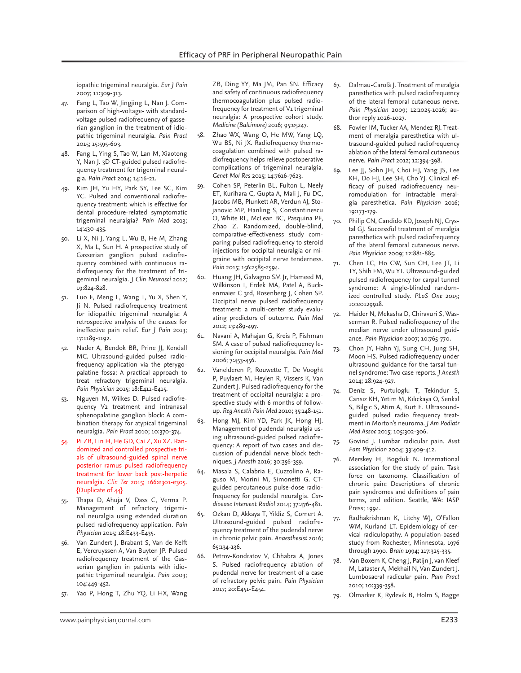iopathic trigeminal neuralgia. *Eur J Pain* 2007; 11:309-313.

- 47. Fang L, Tao W, Jingjing L, Nan J. Comparison of high-voltage- with standardvoltage pulsed radiofrequency of gasserian ganglion in the treatment of idiopathic trigeminal neuralgia. *Pain Pract* 2015; 15:595-603.
- 48. Fang L, Ying S, Tao W, Lan M, Xiaotong Y, Nan J. 3D CT-guided pulsed radiofrequency treatment for trigeminal neuralgia. *Pain Pract* 2014; 14:16-21.
- 49. Kim JH, Yu HY, Park SY, Lee SC, Kim YC. Pulsed and conventional radiofrequency treatment: which is effective for dental procedure-related symptomatic trigeminal neuralgia? *Pain Med* 2013; 14:430-435.
- 50. Li X, Ni J, Yang L, Wu B, He M, Zhang X, Ma L, Sun H. A prospective study of Gasserian ganglion pulsed radiofrequency combined with continuous radiofrequency for the treatment of trigeminal neuralgia. *J Clin Neurosci* 2012; 19:824-828.
- 51. Luo F, Meng L, Wang T, Yu X, Shen Y, Ji N. Pulsed radiofrequency treatment for idiopathic trigeminal neuralgia: A retrospective analysis of the causes for ineffective pain relief. *Eur J Pain* 2013; 17:1189-1192.
- 52. Nader A, Bendok BR, Prine JJ, Kendall MC. Ultrasound-guided pulsed radiofrequency application via the pterygopalatine fossa: A practical approach to treat refractory trigeminal neuralgia. *Pain Physician* 2015; 18:E411-E415.
- 53. Nguyen M, Wilkes D. Pulsed radiofrequency V2 treatment and intranasal sphenopalatine ganglion block: A combination therapy for atypical trigeminal neuralgia. *Pain Pract* 2010; 10:370-374.
- 54. Pi ZB, Lin H, He GD, Cai Z, Xu XZ. Randomized and controlled prospective trials of ultrasound-guided spinal nerve posterior ramus pulsed radiofrequency treatment for lower back post-herpetic neuralgia. *Clin Ter* 2015; 166:e301-e305. {Duplicate of 44}
- 55. Thapa D, Ahuja V, Dass C, Verma P. Management of refractory trigeminal neuralgia using extended duration pulsed radiofrequency application. *Pain Physician* 2015; 18:E433-E435.
- 56. Van Zundert J, Brabant S, Van de Kelft E, Vercruyssen A, Van Buyten JP. Pulsed radiofrequency treatment of the Gasserian ganglion in patients with idiopathic trigeminal neuralgia. *Pain* 2003; 104:449-452.
- 57. Yao P, Hong T, Zhu YQ, Li HX, Wang

ZB, Ding YY, Ma JM, Pan SN. Efficacy and safety of continuous radiofrequency thermocoagulation plus pulsed radiofrequency for treatment of V1 trigeminal neuralgia: A prospective cohort study. *Medicine (Baltimore)* 2016; 95:e5247.

- 58. Zhao WX, Wang O, He MW, Yang LQ, Wu BS, Ni JX. Radiofrequency thermocoagulation combined with pulsed radiofrequency helps relieve postoperative complications of trigeminal neuralgia. *Genet Mol Res* 2015; 14:7616-7623.
- 59. Cohen SP, Peterlin BL, Fulton L, Neely ET, Kurihara C, Gupta A, Mali J, Fu DC, Jacobs MB, Plunkett AR, Verdun AJ, Stojanovic MP, Hanling S, Constantinescu O, White RL, McLean BC, Pasquina PF, Zhao Z. Randomized, double-blind, comparative-effectiveness study comparing pulsed radiofrequency to steroid injections for occipital neuralgia or migraine with occipital nerve tenderness. *Pain* 2015; 156:2585-2594.
- 60. Huang JH, Galvagno SM Jr, Hameed M, Wilkinson I, Erdek MA, Patel A, Buckenmaier C 3rd, Rosenberg J, Cohen SP. Occipital nerve pulsed radiofrequency treatment: a multi-center study evaluating predictors of outcome. *Pain Med* 2012; 13:489-497.
- 61. Navani A, Mahajan G, Kreis P, Fishman SM. A case of pulsed radiofrequency lesioning for occipital neuralgia. *Pain Med* 2006; 7:453-456.
- 62. Vanelderen P, Rouwette T, De Vooght P, Puylaert M, Heylen R, Vissers K, Van Zundert J. Pulsed radiofrequency for the treatment of occipital neuralgia: a prospective study with 6 months of followup. *Reg Anesth Pain Med* 2010; 35:148-151.
- 63. Hong MJ, Kim YD, Park JK, Hong HJ. Management of pudendal neuralgia using ultrasound-guided pulsed radiofrequency: A report of two cases and discussion of pudendal nerve block techniques. *J Anesth* 2016; 30:356-359.
- 64. Masala S, Calabria E, Cuzzolino A, Raguso M, Morini M, Simonetti G. CTguided percutaneous pulse-dose radiofrequency for pudendal neuralgia. *Cardiovasc Intervent Radiol* 2014; 37:476-481.
- 65. Ozkan D, Akkaya T, Yildiz S, Comert A. Ultrasound-guided pulsed radiofrequency treatment of the pudendal nerve in chronic pelvic pain. *Anaesthesist* 2016; 65:134-136.
- 66. Petrov-Kondratov V, Chhabra A, Jones S. Pulsed radiofrequency ablation of pudendal nerve for treatment of a case of refractory pelvic pain. *Pain Physician* 2017; 20:E451-E454.
- 67. Dalmau-Carolà J. Treatment of meralgia paresthetica with pulsed radiofrequency of the lateral femoral cutaneous nerve. *Pain Physician* 2009; 12:1025-1026; author reply 1026-1027.
- 68. Fowler IM, Tucker AA, Mendez RJ. Treatment of meralgia paresthetica with ultrasound-guided pulsed radiofrequency ablation of the lateral femoral cutaneous nerve. *Pain Pract* 2012; 12:394-398.
- 69. Lee JJ, Sohn JH, Choi HJ, Yang JS, Lee KH, Do HJ, Lee SH, Cho YJ. Clinical efficacy of pulsed radiofrequency neuromodulation for intractable meralgia paresthetica. *Pain Physician* 2016; 19:173-179.
- 70. Philip CN, Candido KD, Joseph NJ, Crystal GJ. Successful treatment of meralgia paresthetica with pulsed radiofrequency of the lateral femoral cutaneous nerve. *Pain Physician* 2009; 12:881-885.
- 71. Chen LC, Ho CW, Sun CH, Lee JT, Li TY, Shih FM, Wu YT. Ultrasound-guided pulsed radiofrequency for carpal tunnel syndrome: A single-blinded randomized controlled study. *PLoS One* 2015; 10:e0129918.
- 72. Haider N, Mekasha D, Chiravuri S, Wasserman R. Pulsed radiofrequency of the median nerve under ultrasound guidance. *Pain Physician* 2007; 10:765-770.
- Chon JY, Hahn YJ, Sung CH, Jung SH, Moon HS. Pulsed radiofrequency under ultrasound guidance for the tarsal tunnel syndrome: Two case reports. *J Anesth* 2014; 28:924-927.
- 74. Deniz S, Purtuloglu T, Tekindur S, Cansız KH, Yetim M, Kılıckaya O, Senkal S, Bilgic S, Atim A, Kurt E. Ultrasoundguided pulsed radio frequency treatment in Morton's neuroma. *J Am Podiatr Med Assoc* 2015; 105:302-306.
- 75. Govind J. Lumbar radicular pain. *Aust Fam Physician* 2004; 33:409-412.
- 76. Merskey H, Bogduk N. International association for the study of pain. Task force on taxonomy. Classification of chronic pain: Descriptions of chronic pain syndromes and definitions of pain terms, 2nd edition. Seattle, WA: IASP Press; 1994.
- 77. Radhakrishnan K, Litchy WJ, O'Fallon WM, Kurland LT. Epidemiology of cervical radiculopathy. A population-based study from Rochester, Minnesota, 1976 through 1990. *Brain* 1994; 117:325-335.
- 78. Van Boxem K, Cheng J, Patijn J, van Kleef M, Lataster A, Mekhail N, Van Zundert J. Lumbosacral radicular pain. *Pain Pract* 2010; 10:339-358.
- 79. Olmarker K, Rydevik B, Holm S, Bagge